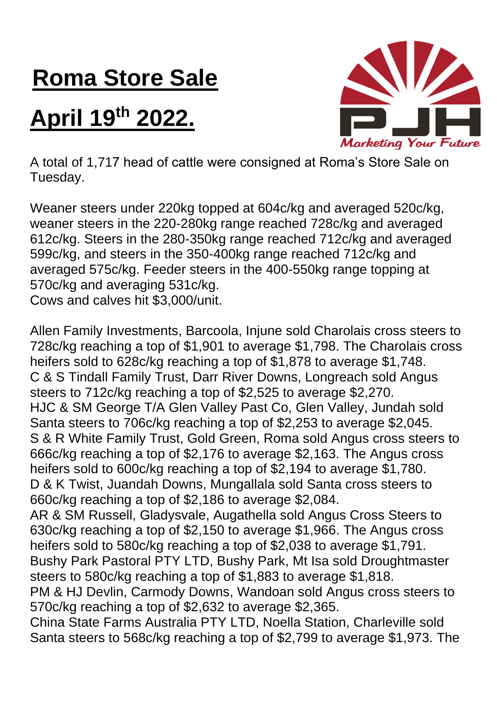## **Roma Store Sale**

## **April 19th 2022.**



A total of 1,717 head of cattle were consigned at Roma's Store Sale on Tuesday.

Weaner steers under 220kg topped at 604c/kg and averaged 520c/kg, weaner steers in the 220-280kg range reached 728c/kg and averaged 612c/kg. Steers in the 280-350kg range reached 712c/kg and averaged 599c/kg, and steers in the 350-400kg range reached 712c/kg and averaged 575c/kg. Feeder steers in the 400-550kg range topping at 570c/kg and averaging 531c/kg. Cows and calves hit \$3,000/unit.

Allen Family Investments, Barcoola, Injune sold Charolais cross steers to 728c/kg reaching a top of \$1,901 to average \$1,798. The Charolais cross heifers sold to 628c/kg reaching a top of \$1,878 to average \$1,748. C & S Tindall Family Trust, Darr River Downs, Longreach sold Angus steers to 712c/kg reaching a top of \$2,525 to average \$2,270. HJC & SM George T/A Glen Valley Past Co, Glen Valley, Jundah sold Santa steers to 706c/kg reaching a top of \$2,253 to average \$2,045. S & R White Family Trust, Gold Green, Roma sold Angus cross steers to 666c/kg reaching a top of \$2,176 to average \$2,163. The Angus cross heifers sold to 600c/kg reaching a top of \$2,194 to average \$1,780. D & K Twist, Juandah Downs, Mungallala sold Santa cross steers to 660c/kg reaching a top of \$2,186 to average \$2,084. AR & SM Russell, Gladysvale, Augathella sold Angus Cross Steers to 630c/kg reaching a top of \$2,150 to average \$1,966. The Angus cross heifers sold to 580c/kg reaching a top of \$2,038 to average \$1,791. Bushy Park Pastoral PTY LTD, Bushy Park, Mt Isa sold Droughtmaster steers to 580c/kg reaching a top of \$1,883 to average \$1,818. PM & HJ Devlin, Carmody Downs, Wandoan sold Angus cross steers to 570c/kg reaching a top of \$2,632 to average \$2,365. China State Farms Australia PTY LTD, Noella Station, Charleville sold Santa steers to 568c/kg reaching a top of \$2,799 to average \$1,973. The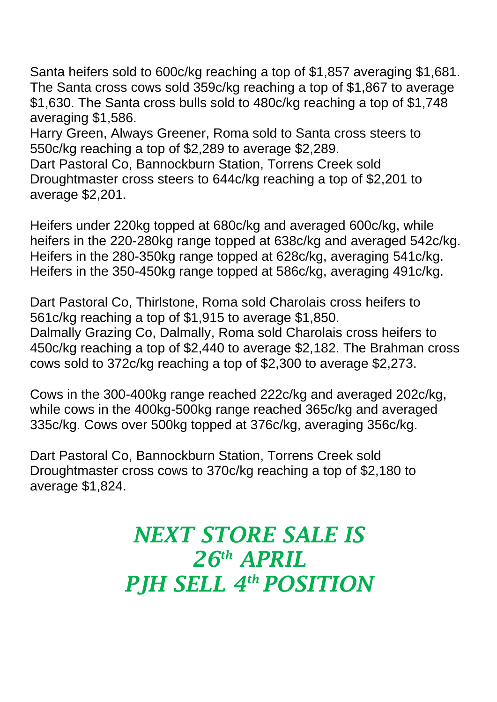Santa heifers sold to 600c/kg reaching a top of \$1,857 averaging \$1,681. The Santa cross cows sold 359c/kg reaching a top of \$1,867 to average \$1,630. The Santa cross bulls sold to 480c/kg reaching a top of \$1,748 averaging \$1,586.

Harry Green, Always Greener, Roma sold to Santa cross steers to 550c/kg reaching a top of \$2,289 to average \$2,289.

Dart Pastoral Co, Bannockburn Station, Torrens Creek sold Droughtmaster cross steers to 644c/kg reaching a top of \$2,201 to average \$2,201.

Heifers under 220kg topped at 680c/kg and averaged 600c/kg, while heifers in the 220-280kg range topped at 638c/kg and averaged 542c/kg. Heifers in the 280-350kg range topped at 628c/kg, averaging 541c/kg. Heifers in the 350-450kg range topped at 586c/kg, averaging 491c/kg.

Dart Pastoral Co, Thirlstone, Roma sold Charolais cross heifers to 561c/kg reaching a top of \$1,915 to average \$1,850. Dalmally Grazing Co, Dalmally, Roma sold Charolais cross heifers to 450c/kg reaching a top of \$2,440 to average \$2,182. The Brahman cross cows sold to 372c/kg reaching a top of \$2,300 to average \$2,273.

Cows in the 300-400kg range reached 222c/kg and averaged 202c/kg, while cows in the 400kg-500kg range reached 365c/kg and averaged 335c/kg. Cows over 500kg topped at 376c/kg, averaging 356c/kg.

Dart Pastoral Co, Bannockburn Station, Torrens Creek sold Droughtmaster cross cows to 370c/kg reaching a top of \$2,180 to average \$1,824.

## *NEXT STORE SALE IS 26th APRIL PJH SELL 4 th POSITION*